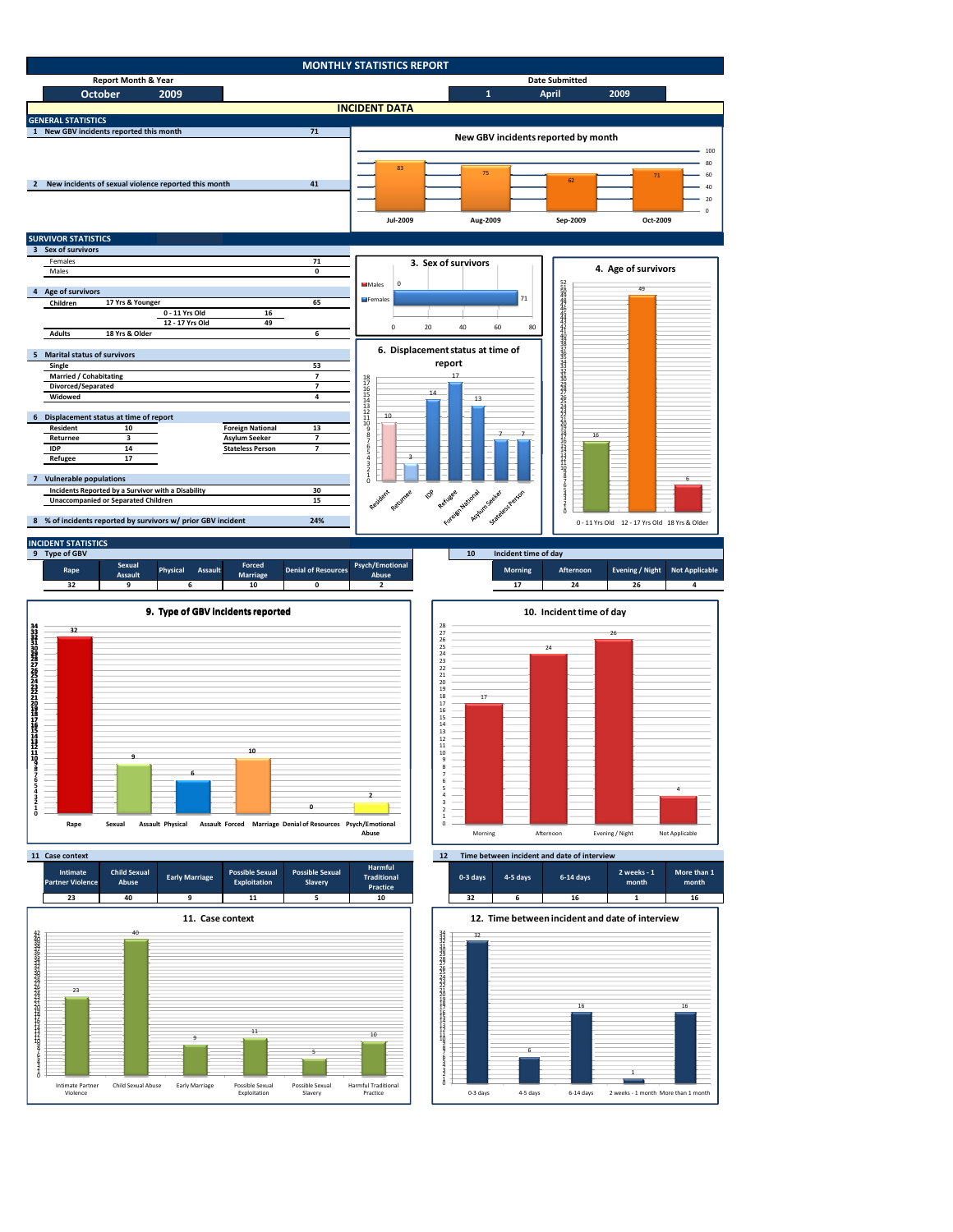